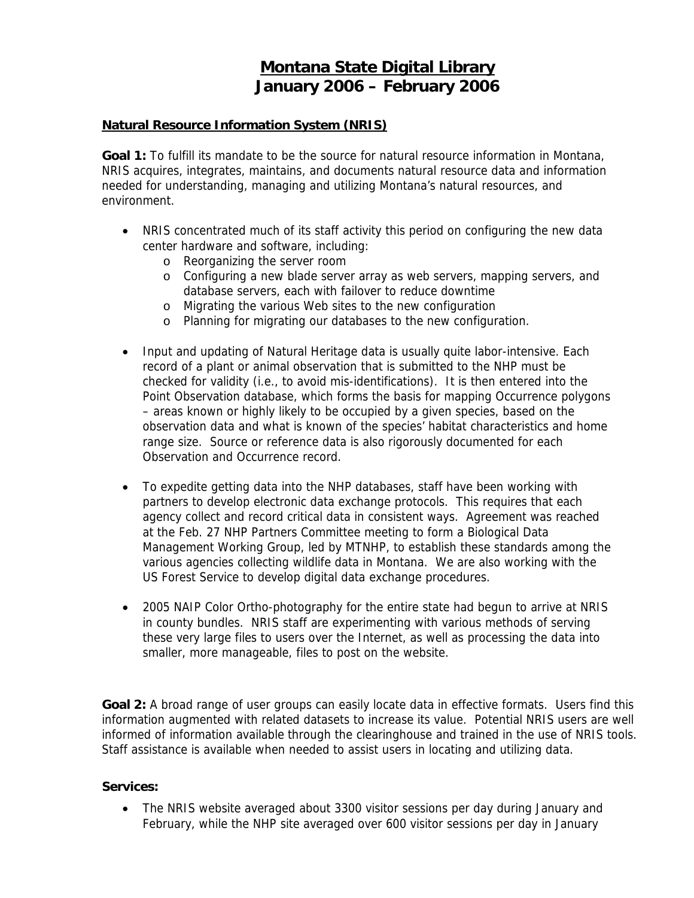# **Montana State Digital Library January 2006 – February 2006**

#### **Natural Resource Information System (NRIS)**

**Goal 1:** To fulfill its mandate to be the source for natural resource information in Montana, NRIS acquires, integrates, maintains, and documents natural resource data and information needed for understanding, managing and utilizing Montana's natural resources, and environment.

- NRIS concentrated much of its staff activity this period on configuring the new data center hardware and software, including:
	- o Reorganizing the server room
	- o Configuring a new blade server array as web servers, mapping servers, and database servers, each with failover to reduce downtime
	- o Migrating the various Web sites to the new configuration
	- o Planning for migrating our databases to the new configuration.
- Input and updating of Natural Heritage data is usually quite labor-intensive. Each record of a plant or animal observation that is submitted to the NHP must be checked for validity (i.e., to avoid mis-identifications). It is then entered into the Point Observation database, which forms the basis for mapping Occurrence polygons – areas known or highly likely to be occupied by a given species, based on the observation data and what is known of the species' habitat characteristics and home range size. Source or reference data is also rigorously documented for each Observation and Occurrence record.
- To expedite getting data into the NHP databases, staff have been working with partners to develop electronic data exchange protocols. This requires that each agency collect and record critical data in consistent ways. Agreement was reached at the Feb. 27 NHP Partners Committee meeting to form a Biological Data Management Working Group, led by MTNHP, to establish these standards among the various agencies collecting wildlife data in Montana. We are also working with the US Forest Service to develop digital data exchange procedures.
- 2005 NAIP Color Ortho-photography for the entire state had begun to arrive at NRIS in county bundles. NRIS staff are experimenting with various methods of serving these very large files to users over the Internet, as well as processing the data into smaller, more manageable, files to post on the website.

Goal 2: A broad range of user groups can easily locate data in effective formats. Users find this information augmented with related datasets to increase its value. Potential NRIS users are well informed of information available through the clearinghouse and trained in the use of NRIS tools. Staff assistance is available when needed to assist users in locating and utilizing data.

# **Services:**

• The NRIS website averaged about 3300 visitor sessions per day during January and February, while the NHP site averaged over 600 visitor sessions per day in January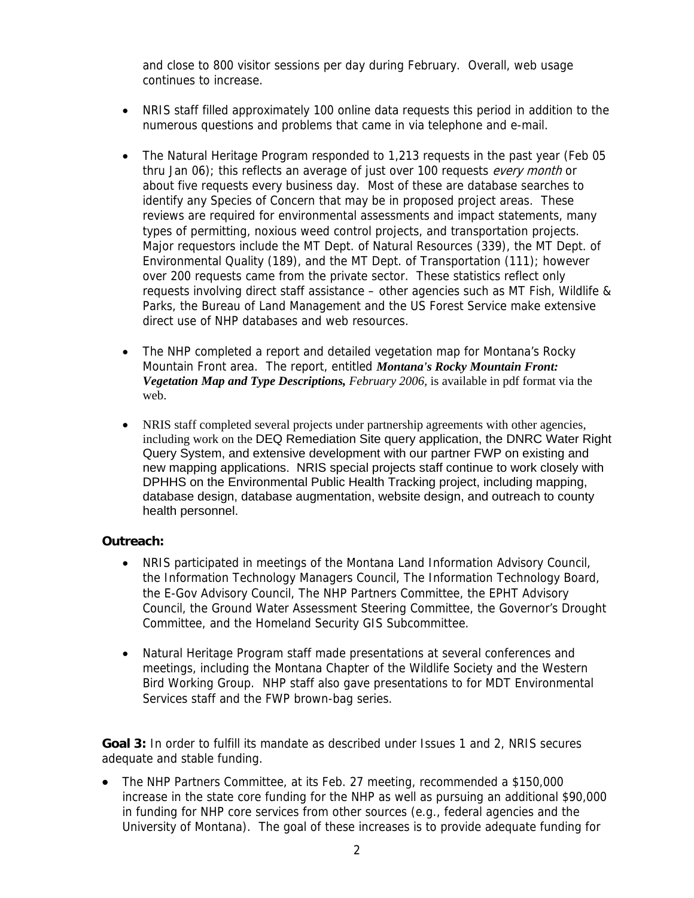and close to 800 visitor sessions per day during February. Overall, web usage continues to increase.

- NRIS staff filled approximately 100 online data requests this period in addition to the numerous questions and problems that came in via telephone and e-mail.
- The Natural Heritage Program responded to 1,213 requests in the past year (Feb 05 thru Jan 06); this reflects an average of just over 100 requests every month or about five requests every business day. Most of these are database searches to identify any Species of Concern that may be in proposed project areas. These reviews are required for environmental assessments and impact statements, many types of permitting, noxious weed control projects, and transportation projects. Major requestors include the MT Dept. of Natural Resources (339), the MT Dept. of Environmental Quality (189), and the MT Dept. of Transportation (111); however over 200 requests came from the private sector. These statistics reflect only requests involving direct staff assistance – other agencies such as MT Fish, Wildlife & Parks, the Bureau of Land Management and the US Forest Service make extensive direct use of NHP databases and web resources.
- The NHP completed a report and detailed vegetation map for Montana's Rocky Mountain Front area. The report, entitled *Montana's Rocky Mountain Front: Vegetation Map and Type Descriptions, February 2006,* is available in pdf format via the web.
- NRIS staff completed several projects under partnership agreements with other agencies, including work on the DEQ Remediation Site query application, the DNRC Water Right Query System, and extensive development with our partner FWP on existing and new mapping applications. NRIS special projects staff continue to work closely with DPHHS on the Environmental Public Health Tracking project, including mapping, database design, database augmentation, website design, and outreach to county health personnel.

### **Outreach:**

- NRIS participated in meetings of the Montana Land Information Advisory Council, the Information Technology Managers Council, The Information Technology Board, the E-Gov Advisory Council, The NHP Partners Committee, the EPHT Advisory Council, the Ground Water Assessment Steering Committee, the Governor's Drought Committee, and the Homeland Security GIS Subcommittee.
- Natural Heritage Program staff made presentations at several conferences and meetings, including the Montana Chapter of the Wildlife Society and the Western Bird Working Group. NHP staff also gave presentations to for MDT Environmental Services staff and the FWP brown-bag series.

**Goal 3:** In order to fulfill its mandate as described under Issues 1 and 2, NRIS secures adequate and stable funding.

• The NHP Partners Committee, at its Feb. 27 meeting, recommended a \$150,000 increase in the state core funding for the NHP as well as pursuing an additional \$90,000 in funding for NHP core services from other sources (e.g., federal agencies and the University of Montana). The goal of these increases is to provide adequate funding for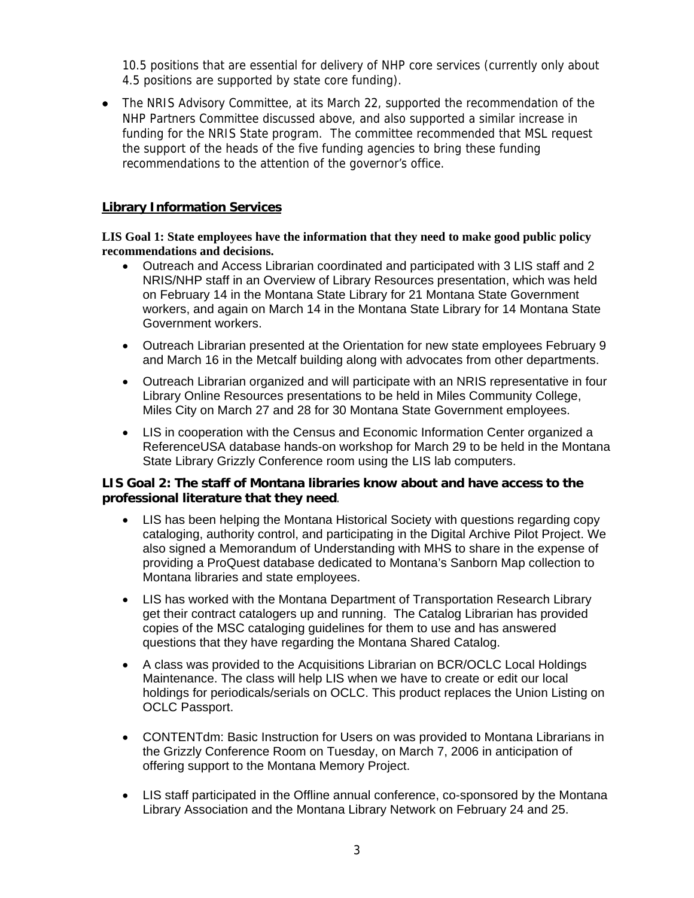10.5 positions that are essential for delivery of NHP core services (currently only about 4.5 positions are supported by state core funding).

• The NRIS Advisory Committee, at its March 22, supported the recommendation of the NHP Partners Committee discussed above, and also supported a similar increase in funding for the NRIS State program. The committee recommended that MSL request the support of the heads of the five funding agencies to bring these funding recommendations to the attention of the governor's office.

## **Library Information Services**

#### **LIS Goal 1: State employees have the information that they need to make good public policy recommendations and decisions.**

- Outreach and Access Librarian coordinated and participated with 3 LIS staff and 2 NRIS/NHP staff in an Overview of Library Resources presentation, which was held on February 14 in the Montana State Library for 21 Montana State Government workers, and again on March 14 in the Montana State Library for 14 Montana State Government workers.
- Outreach Librarian presented at the Orientation for new state employees February 9 and March 16 in the Metcalf building along with advocates from other departments.
- Outreach Librarian organized and will participate with an NRIS representative in four Library Online Resources presentations to be held in Miles Community College, Miles City on March 27 and 28 for 30 Montana State Government employees.
- LIS in cooperation with the Census and Economic Information Center organized a ReferenceUSA database hands-on workshop for March 29 to be held in the Montana State Library Grizzly Conference room using the LIS lab computers.

### **LIS Goal 2: The staff of Montana libraries know about and have access to the professional literature that they need**.

- LIS has been helping the Montana Historical Society with questions regarding copy cataloging, authority control, and participating in the Digital Archive Pilot Project. We also signed a Memorandum of Understanding with MHS to share in the expense of providing a ProQuest database dedicated to Montana's Sanborn Map collection to Montana libraries and state employees.
- LIS has worked with the Montana Department of Transportation Research Library get their contract catalogers up and running. The Catalog Librarian has provided copies of the MSC cataloging guidelines for them to use and has answered questions that they have regarding the Montana Shared Catalog.
- A class was provided to the Acquisitions Librarian on BCR/OCLC Local Holdings Maintenance. The class will help LIS when we have to create or edit our local holdings for periodicals/serials on OCLC. This product replaces the Union Listing on OCLC Passport.
- CONTENTdm: Basic Instruction for Users on was provided to Montana Librarians in the Grizzly Conference Room on Tuesday, on March 7, 2006 in anticipation of offering support to the Montana Memory Project.
- LIS staff participated in the Offline annual conference, co-sponsored by the Montana Library Association and the Montana Library Network on February 24 and 25.